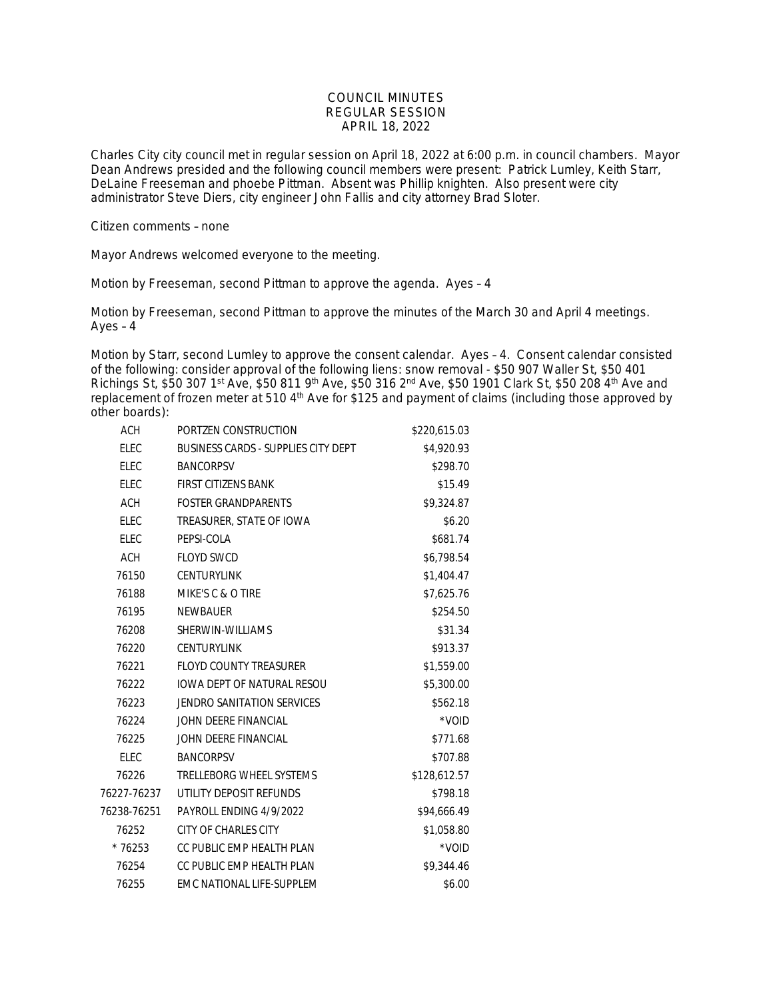## COUNCIL MINUTES REGULAR SESSION APRIL 18, 2022

Charles City city council met in regular session on April 18, 2022 at 6:00 p.m. in council chambers. Mayor Dean Andrews presided and the following council members were present: Patrick Lumley, Keith Starr, DeLaine Freeseman and phoebe Pittman. Absent was Phillip knighten. Also present were city administrator Steve Diers, city engineer John Fallis and city attorney Brad Sloter.

Citizen comments – none

Mayor Andrews welcomed everyone to the meeting.

Motion by Freeseman, second Pittman to approve the agenda. Ayes – 4

Motion by Freeseman, second Pittman to approve the minutes of the March 30 and April 4 meetings. Ayes – 4

Motion by Starr, second Lumley to approve the consent calendar. Ayes – 4. Consent calendar consisted of the following: consider approval of the following liens: snow removal - \$50 907 Waller St, \$50 401 Richings St, \$50 307 1st Ave, \$50 811 9th Ave, \$50 316 2nd Ave, \$50 1901 Clark St, \$50 208 4th Ave and replacement of frozen meter at 510 4<sup>th</sup> Ave for \$125 and payment of claims (including those approved by other boards):

| <b>ACH</b>  | PORTZEN CONSTRUCTION                | \$220,615.03 |
|-------------|-------------------------------------|--------------|
| <b>ELEC</b> | BUSINESS CARDS - SUPPLIES CITY DEPT | \$4,920.93   |
| <b>ELEC</b> | <b>BANCORPSV</b>                    | \$298.70     |
| <b>ELEC</b> | FIRST CITIZENS BANK                 | \$15.49      |
| <b>ACH</b>  | <b>FOSTER GRANDPARENTS</b>          | \$9,324.87   |
| <b>ELEC</b> | TREASURER, STATE OF IOWA            | \$6.20       |
| ELEC        | PEPSI-COLA                          | \$681.74     |
| <b>ACH</b>  | <b>FLOYD SWCD</b>                   | \$6,798.54   |
| 76150       | <b>CENTURYLINK</b>                  | \$1,404.47   |
| 76188       | MIKE'S C & O TIRE                   | \$7,625.76   |
| 76195       | <b>NEWBAUER</b>                     | \$254.50     |
| 76208       | SHERWIN-WILLIAMS                    | \$31.34      |
| 76220       | <b>CENTURYLINK</b>                  | \$913.37     |
| 76221       | <b>FLOYD COUNTY TREASURER</b>       | \$1,559.00   |
| 76222       | <b>IOWA DEPT OF NATURAL RESOU</b>   | \$5,300.00   |
| 76223       | <b>JENDRO SANITATION SERVICES</b>   | \$562.18     |
| 76224       | JOHN DEERE FINANCIAL                | *VOID        |
| 76225       | JOHN DEERE FINANCIAL                | \$771.68     |
| <b>ELEC</b> | <b>BANCORPSV</b>                    | \$707.88     |
| 76226       | TRELLEBORG WHEEL SYSTEMS            | \$128,612.57 |
| 76227-76237 | UTILITY DEPOSIT REFUNDS             | \$798.18     |
| 76238-76251 | PAYROLL ENDING 4/9/2022             | \$94,666.49  |
| 76252       | <b>CITY OF CHARLES CITY</b>         | \$1,058.80   |
| $*76253$    | CC PUBLIC EMP HEALTH PLAN           | *VOID        |
| 76254       | CC PUBLIC EMP HEALTH PLAN           | \$9,344.46   |
| 76255       | EMC NATIONAL LIFE-SUPPLEM           | \$6.00       |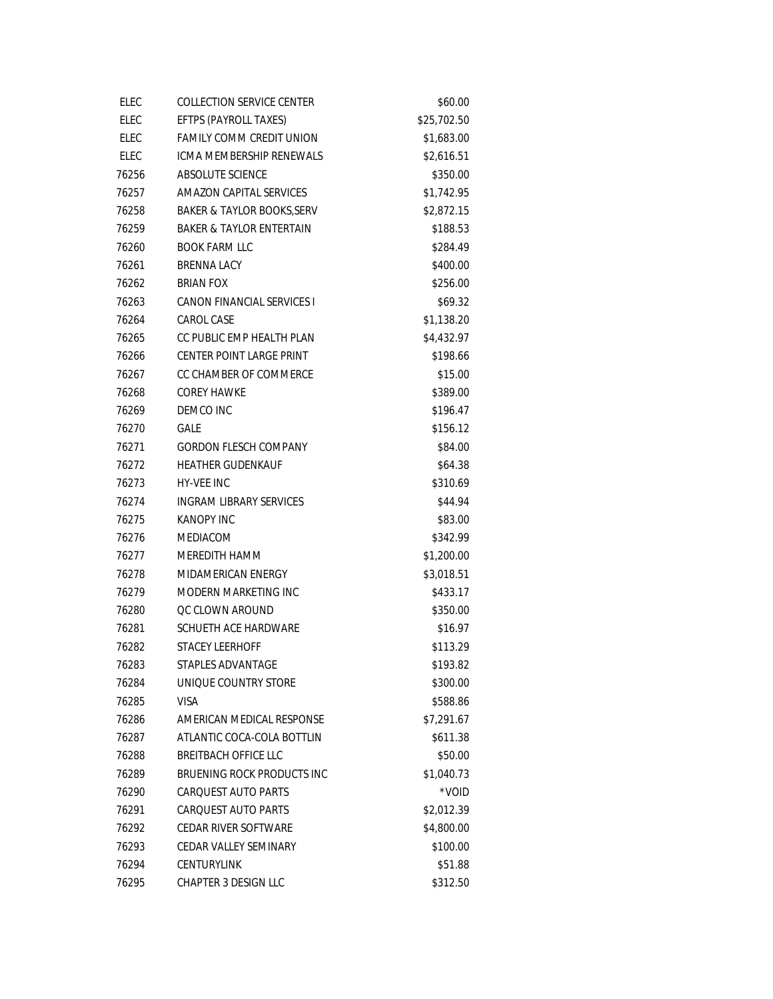| <b>ELEC</b> | <b>COLLECTION SERVICE CENTER</b>    | \$60.00     |
|-------------|-------------------------------------|-------------|
| <b>ELEC</b> | EFTPS (PAYROLL TAXES)               | \$25,702.50 |
| ELEC        | <b>FAMILY COMM CREDIT UNION</b>     | \$1,683.00  |
| ELEC        | <b>ICMA MEMBERSHIP RENEWALS</b>     | \$2,616.51  |
| 76256       | ABSOLUTE SCIENCE                    | \$350.00    |
| 76257       | AMAZON CAPITAL SERVICES             | \$1,742.95  |
| 76258       | BAKER & TAYLOR BOOKS, SERV          | \$2,872.15  |
| 76259       | <b>BAKER &amp; TAYLOR ENTERTAIN</b> | \$188.53    |
| 76260       | <b>BOOK FARM LLC</b>                | \$284.49    |
| 76261       | <b>BRENNA LACY</b>                  | \$400.00    |
| 76262       | <b>BRIAN FOX</b>                    | \$256.00    |
| 76263       | CANON FINANCIAL SERVICES I          | \$69.32     |
| 76264       | CAROL CASE                          | \$1,138.20  |
| 76265       | CC PUBLIC EMP HEALTH PLAN           | \$4,432.97  |
| 76266       | CENTER POINT LARGE PRINT            | \$198.66    |
| 76267       | CC CHAMBER OF COMMERCE              | \$15.00     |
| 76268       | <b>COREY HAWKE</b>                  | \$389.00    |
| 76269       | DEMCO INC                           | \$196.47    |
| 76270       | <b>GALE</b>                         | \$156.12    |
| 76271       | <b>GORDON FLESCH COMPANY</b>        | \$84.00     |
| 76272       | <b>HEATHER GUDENKAUF</b>            | \$64.38     |
| 76273       | <b>HY-VEE INC</b>                   | \$310.69    |
| 76274       | INGRAM LIBRARY SERVICES             | \$44.94     |
| 76275       | KANOPY INC                          | \$83.00     |
| 76276       | <b>MEDIACOM</b>                     | \$342.99    |
| 76277       | MEREDITH HAMM                       | \$1,200.00  |
| 76278       | MIDAMERICAN ENERGY                  | \$3,018.51  |
| 76279       | MODERN MARKETING INC                | \$433.17    |
| 76280       | <b>QC CLOWN AROUND</b>              | \$350.00    |
| 76281       | SCHUETH ACE HARDWARE                | \$16.97     |
| 76282       | <b>STACEY LEERHOFF</b>              | \$113.29    |
| 76283       | STAPLES ADVANTAGE                   | \$193.82    |
| 76284       | UNIQUE COUNTRY STORE                | \$300.00    |
| 76285       | VISA                                | \$588.86    |
| 76286       | AMERICAN MEDICAL RESPONSE           | \$7,291.67  |
| 76287       | ATLANTIC COCA-COLA BOTTLIN          | \$611.38    |
| 76288       | BREITBACH OFFICE LLC                | \$50.00     |
| 76289       | BRUENING ROCK PRODUCTS INC          | \$1,040.73  |
| 76290       | CARQUEST AUTO PARTS                 | *VOID       |
| 76291       | CAROUEST AUTO PARTS                 | \$2,012.39  |
| 76292       | CEDAR RIVER SOFTWARE                | \$4,800.00  |
| 76293       | CEDAR VALLEY SEMINARY               | \$100.00    |
| 76294       | <b>CENTURYLINK</b>                  | \$51.88     |
| 76295       | <b>CHAPTER 3 DESIGN LLC</b>         | \$312.50    |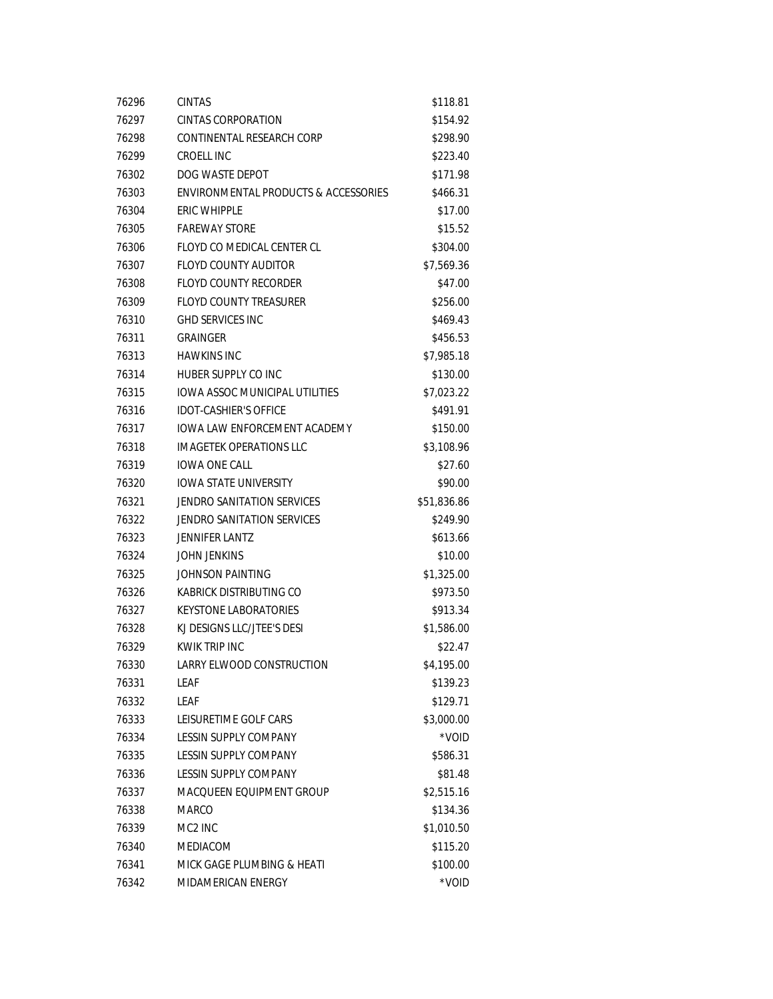| 76296 | <b>CINTAS</b>                                   | \$118.81    |
|-------|-------------------------------------------------|-------------|
| 76297 | CINTAS CORPORATION                              | \$154.92    |
| 76298 | CONTINENTAL RESEARCH CORP                       | \$298.90    |
| 76299 | CROELL INC                                      | \$223.40    |
| 76302 | DOG WASTE DEPOT                                 | \$171.98    |
| 76303 | <b>ENVIRONMENTAL PRODUCTS &amp; ACCESSORIES</b> | \$466.31    |
| 76304 | ERIC WHIPPLE                                    | \$17.00     |
| 76305 | <b>FAREWAY STORE</b>                            | \$15.52     |
| 76306 | FLOYD CO MEDICAL CENTER CL                      | \$304.00    |
| 76307 | <b>FLOYD COUNTY AUDITOR</b>                     | \$7,569.36  |
| 76308 | <b>FLOYD COUNTY RECORDER</b>                    | \$47.00     |
| 76309 | <b>FLOYD COUNTY TREASURER</b>                   | \$256.00    |
| 76310 | <b>GHD SERVICES INC</b>                         | \$469.43    |
| 76311 | <b>GRAINGER</b>                                 | \$456.53    |
| 76313 | <b>HAWKINS INC</b>                              | \$7,985.18  |
| 76314 | HUBER SUPPLY CO INC                             | \$130.00    |
| 76315 | <b>IOWA ASSOC MUNICIPAL UTILITIES</b>           | \$7,023.22  |
| 76316 | <b>IDOT-CASHIER'S OFFICE</b>                    | \$491.91    |
| 76317 | <b>IOWA LAW ENFORCEMENT ACADEMY</b>             | \$150.00    |
| 76318 | <b>IMAGETEK OPERATIONS LLC</b>                  | \$3,108.96  |
| 76319 | <b>IOWA ONE CALL</b>                            | \$27.60     |
| 76320 | <b>IOWA STATE UNIVERSITY</b>                    | \$90.00     |
| 76321 | JENDRO SANITATION SERVICES                      | \$51,836.86 |
| 76322 | <b>JENDRO SANITATION SERVICES</b>               | \$249.90    |
| 76323 | <b>JENNIFER LANTZ</b>                           | \$613.66    |
| 76324 | <b>JOHN JENKINS</b>                             | \$10.00     |
| 76325 | JOHNSON PAINTING                                | \$1,325.00  |
| 76326 | KABRICK DISTRIBUTING CO                         | \$973.50    |
| 76327 | <b>KEYSTONE LABORATORIES</b>                    | \$913.34    |
| 76328 | KJ DESIGNS LLC/JTEE'S DESI                      | \$1,586.00  |
| 76329 | KWIK TRIP INC                                   | \$22.47     |
| 76330 | LARRY ELWOOD CONSTRUCTION                       | \$4,195.00  |
| 76331 | <b>LEAF</b>                                     | \$139.23    |
| 76332 | LEAF                                            | \$129.71    |
| 76333 | LEISURETIME GOLF CARS                           | \$3,000.00  |
| 76334 | <b>LESSIN SUPPLY COMPANY</b>                    | *VOID       |
| 76335 | LESSIN SUPPLY COMPANY                           | \$586.31    |
| 76336 | <b>LESSIN SUPPLY COMPANY</b>                    | \$81.48     |
| 76337 | MACQUEEN EQUIPMENT GROUP                        | \$2,515.16  |
| 76338 | <b>MARCO</b>                                    | \$134.36    |
| 76339 | MC2 INC                                         | \$1,010.50  |
| 76340 | MEDIACOM                                        | \$115.20    |
| 76341 | MICK GAGE PLUMBING & HEATI                      | \$100.00    |
| 76342 | MIDAMERICAN ENERGY                              | *VOID       |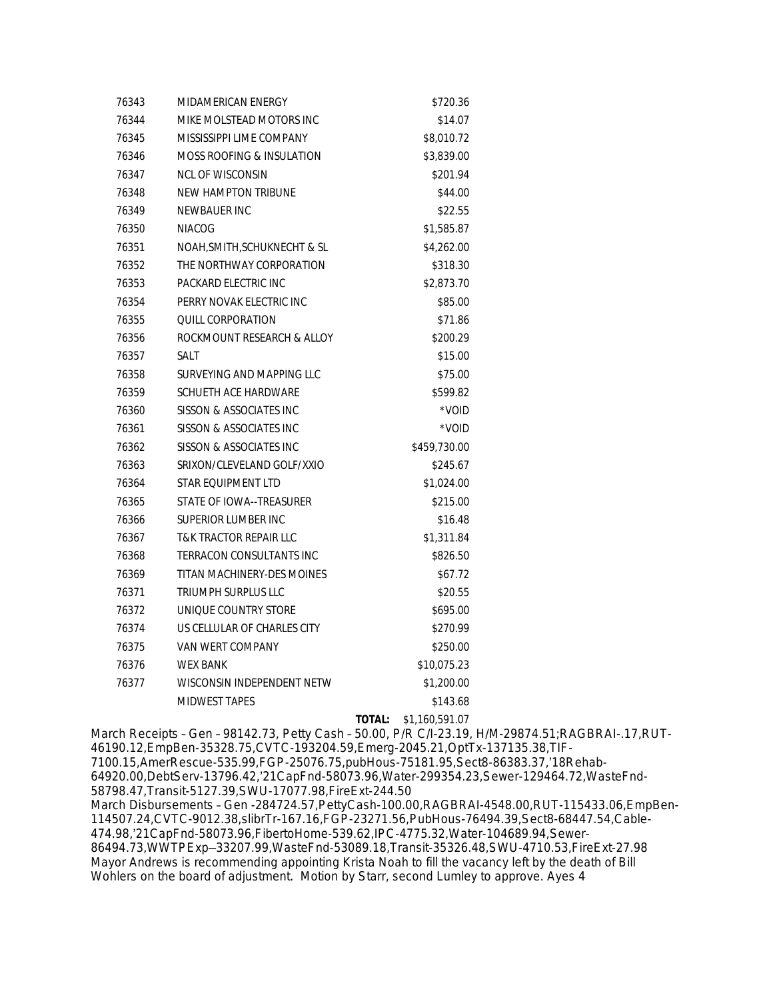| 76343 | MIDAMERICAN ENERGY                   |               | \$720.36       |
|-------|--------------------------------------|---------------|----------------|
| 76344 | MIKE MOLSTEAD MOTORS INC             |               | \$14.07        |
| 76345 | MISSISSIPPI LIME COMPANY             |               | \$8,010.72     |
| 76346 | <b>MOSS ROOFING &amp; INSULATION</b> |               | \$3,839.00     |
| 76347 | NCL OF WISCONSIN                     |               | \$201.94       |
| 76348 | <b>NEW HAMPTON TRIBUNE</b>           |               | \$44.00        |
| 76349 | <b>NEWBAUER INC</b>                  |               | \$22.55        |
| 76350 | <b>NIACOG</b>                        |               | \$1,585.87     |
| 76351 | NOAH, SMITH, SCHUKNECHT & SL         |               | \$4,262.00     |
| 76352 | THE NORTHWAY CORPORATION             |               | \$318.30       |
| 76353 | PACKARD ELECTRIC INC                 |               | \$2,873.70     |
| 76354 | PERRY NOVAK ELECTRIC INC             |               | \$85.00        |
| 76355 | <b>QUILL CORPORATION</b>             |               | \$71.86        |
| 76356 | ROCKMOUNT RESEARCH & ALLOY           |               | \$200.29       |
| 76357 | <b>SALT</b>                          |               | \$15.00        |
| 76358 | SURVEYING AND MAPPING LLC            |               | \$75.00        |
| 76359 | SCHUETH ACE HARDWARE                 |               | \$599.82       |
| 76360 | SISSON & ASSOCIATES INC              |               | *VOID          |
| 76361 | SISSON & ASSOCIATES INC              |               | *VOID          |
| 76362 | SISSON & ASSOCIATES INC              |               | \$459,730.00   |
| 76363 | SRIXON/CLEVELAND GOLF/XXIO           |               | \$245.67       |
| 76364 | STAR EQUIPMENT LTD                   |               | \$1,024.00     |
| 76365 | STATE OF IOWA--TREASURER             |               | \$215.00       |
| 76366 | SUPERIOR LUMBER INC                  |               | \$16.48        |
| 76367 | <b>T&amp;K TRACTOR REPAIR LLC</b>    |               | \$1,311.84     |
| 76368 | <b>TERRACON CONSULTANTS INC</b>      |               | \$826.50       |
| 76369 | TITAN MACHINERY-DES MOINES           |               | \$67.72        |
| 76371 | <b>TRIUMPH SURPLUS LLC</b>           |               | \$20.55        |
| 76372 | UNIQUE COUNTRY STORE                 |               | \$695.00       |
| 76374 | US CELLULAR OF CHARLES CITY          |               | \$270.99       |
| 76375 | VAN WERT COMPANY                     |               | \$250.00       |
| 76376 | <b>WEX BANK</b>                      |               | \$10,075.23    |
| 76377 | WISCONSIN INDEPENDENT NETW           |               | \$1,200.00     |
|       | <b>MIDWEST TAPES</b>                 |               | \$143.68       |
|       |                                      | <b>TOTAL:</b> | \$1,160,591.07 |

March Receipts – Gen – 98142.73, Petty Cash – 50.00, P/R C/I-23.19, H/M-29874.51;RAGBRAI-.17,RUT-46190.12,EmpBen-35328.75,CVTC-193204.59,Emerg-2045.21,OptTx-137135.38,TIF-7100.15,AmerRescue-535.99,FGP-25076.75,pubHous-75181.95,Sect8-86383.37,'18Rehab-64920.00,DebtServ-13796.42,'21CapFnd-58073.96,Water-299354.23,Sewer-129464.72,WasteFnd-58798.47,Transit-5127.39,SWU-17077.98,FireExt-244.50 March Disbursements – Gen -284724.57,PettyCash-100.00,RAGBRAI-4548.00,RUT-115433.06,EmpBen-114507.24,CVTC-9012.38,slibrTr-167.16,FGP-23271.56,PubHous-76494.39,Sect8-68447.54,Cable-474.98,'21CapFnd-58073.96,FibertoHome-539.62,IPC-4775.32,Water-104689.94,Sewer-86494.73,WWTPExp—33207.99,WasteFnd-53089.18,Transit-35326.48,SWU-4710.53,FireExt-27.98 Mayor Andrews is recommending appointing Krista Noah to fill the vacancy left by the death of Bill Wohlers on the board of adjustment. Motion by Starr, second Lumley to approve. Ayes 4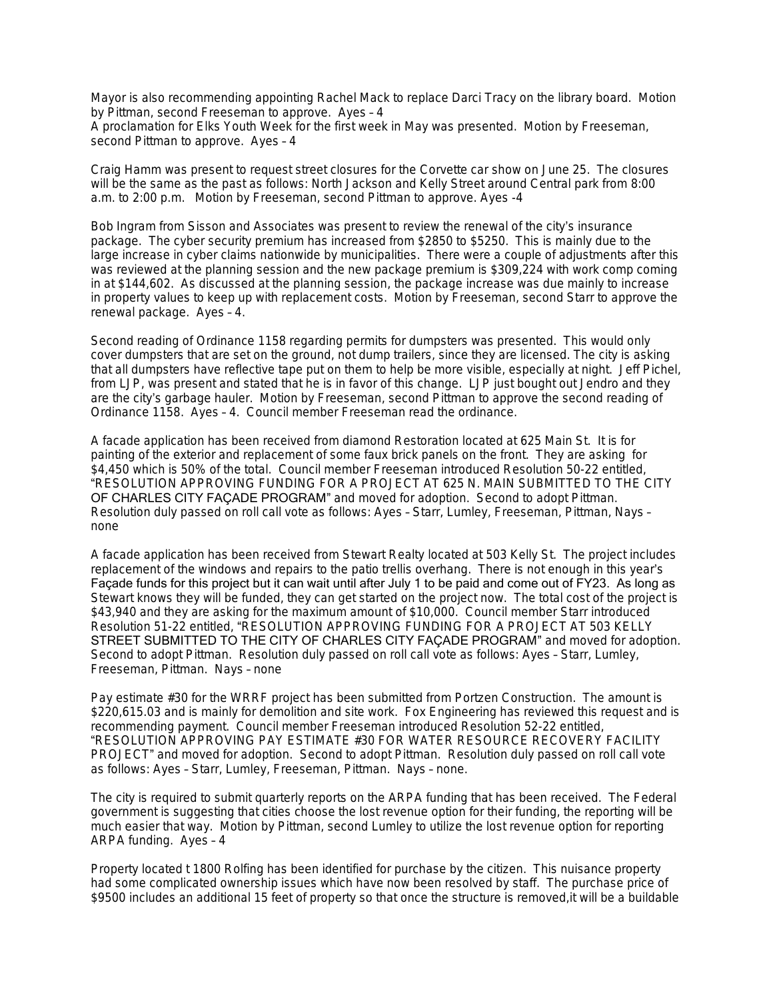Mayor is also recommending appointing Rachel Mack to replace Darci Tracy on the library board. Motion by Pittman, second Freeseman to approve. Ayes – 4

A proclamation for Elks Youth Week for the first week in May was presented. Motion by Freeseman, second Pittman to approve. Ayes – 4

Craig Hamm was present to request street closures for the Corvette car show on June 25. The closures will be the same as the past as follows: North Jackson and Kelly Street around Central park from 8:00 a.m. to 2:00 p.m. Motion by Freeseman, second Pittman to approve. Ayes -4

Bob Ingram from Sisson and Associates was present to review the renewal of the city's insurance package. The cyber security premium has increased from \$2850 to \$5250. This is mainly due to the large increase in cyber claims nationwide by municipalities. There were a couple of adjustments after this was reviewed at the planning session and the new package premium is \$309,224 with work comp coming in at \$144,602. As discussed at the planning session, the package increase was due mainly to increase in property values to keep up with replacement costs. Motion by Freeseman, second Starr to approve the renewal package. Ayes – 4.

Second reading of Ordinance 1158 regarding permits for dumpsters was presented. This would only cover dumpsters that are set on the ground, not dump trailers, since they are licensed. The city is asking that all dumpsters have reflective tape put on them to help be more visible, especially at night. Jeff Pichel, from LJP, was present and stated that he is in favor of this change. LJP just bought out Jendro and they are the city's garbage hauler. Motion by Freeseman, second Pittman to approve the second reading of Ordinance 1158. Ayes – 4. Council member Freeseman read the ordinance.

A facade application has been received from diamond Restoration located at 625 Main St. It is for painting of the exterior and replacement of some faux brick panels on the front. They are asking for \$4,450 which is 50% of the total. Council member Freeseman introduced Resolution 50-22 entitled, "RESOLUTION APPROVING FUNDING FOR A PROJECT AT 625 N. MAIN SUBMITTED TO THE CITY OF CHARLES CITY FAÇADE PROGRAM" and moved for adoption. Second to adopt Pittman. Resolution duly passed on roll call vote as follows: Ayes – Starr, Lumley, Freeseman, Pittman, Nays – none

A facade application has been received from Stewart Realty located at 503 Kelly St. The project includes replacement of the windows and repairs to the patio trellis overhang. There is not enough in this year's Façade funds for this project but it can wait until after July 1 to be paid and come out of FY23. As long as Stewart knows they will be funded, they can get started on the project now. The total cost of the project is \$43,940 and they are asking for the maximum amount of \$10,000. Council member Starr introduced Resolution 51-22 entitled, "RESOLUTION APPROVING FUNDING FOR A PROJECT AT 503 KELLY STREET SUBMITTED TO THE CITY OF CHARLES CITY FAÇADE PROGRAM" and moved for adoption. Second to adopt Pittman. Resolution duly passed on roll call vote as follows: Ayes – Starr, Lumley, Freeseman, Pittman. Nays – none

Pay estimate #30 for the WRRF project has been submitted from Portzen Construction. The amount is \$220,615.03 and is mainly for demolition and site work. Fox Engineering has reviewed this request and is recommending payment. Council member Freeseman introduced Resolution 52-22 entitled, "RESOLUTION APPROVING PAY ESTIMATE #30 FOR WATER RESOURCE RECOVERY FACILITY PROJECT" and moved for adoption. Second to adopt Pittman. Resolution duly passed on roll call vote as follows: Ayes – Starr, Lumley, Freeseman, Pittman. Nays – none.

The city is required to submit quarterly reports on the ARPA funding that has been received. The Federal government is suggesting that cities choose the lost revenue option for their funding, the reporting will be much easier that way. Motion by Pittman, second Lumley to utilize the lost revenue option for reporting ARPA funding. Ayes – 4

Property located t 1800 Rolfing has been identified for purchase by the citizen. This nuisance property had some complicated ownership issues which have now been resolved by staff. The purchase price of \$9500 includes an additional 15 feet of property so that once the structure is removed,it will be a buildable